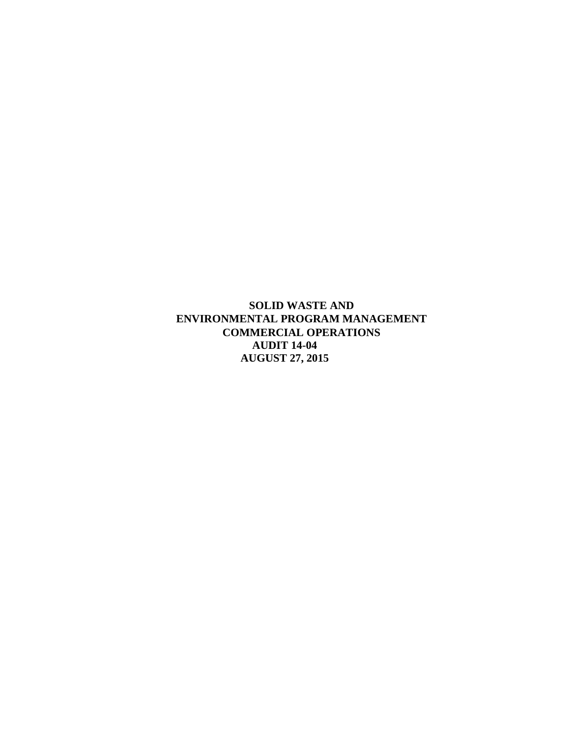**SOLID WASTE AND ENVIRONMENTAL PROGRAM MANAGEMENT COMMERCIAL OPERATIONS AUDIT 14-04 AUGUST 27, 2015**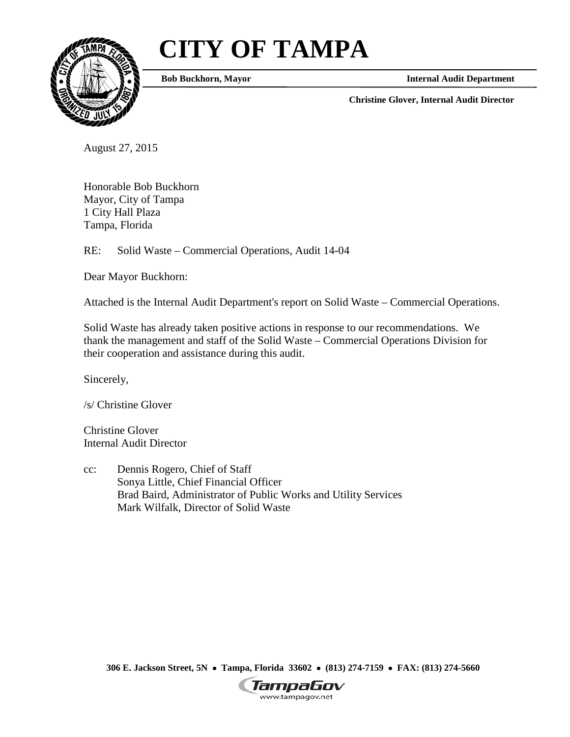# **CITY OF TAMPA**



**Bob Buckhorn, Mayor**

**Internal Audit Department**

**Christine Glover, Internal Audit Director**

August 27, 2015

Honorable Bob Buckhorn Mayor, City of Tampa 1 City Hall Plaza Tampa, Florida

RE: Solid Waste – Commercial Operations, Audit 14-04

Dear Mayor Buckhorn:

Attached is the Internal Audit Department's report on Solid Waste – Commercial Operations.

Solid Waste has already taken positive actions in response to our recommendations. We thank the management and staff of the Solid Waste – Commercial Operations Division for their cooperation and assistance during this audit.

Sincerely,

/s/ Christine Glover

Christine Glover Internal Audit Director

cc: Dennis Rogero, Chief of Staff Sonya Little, Chief Financial Officer Brad Baird, Administrator of Public Works and Utility Services Mark Wilfalk, Director of Solid Waste

**306 E. Jackson Street, 5N** • **Tampa, Florida 33602** • **(813) 274-7159** • **FAX: (813) 274-5660**

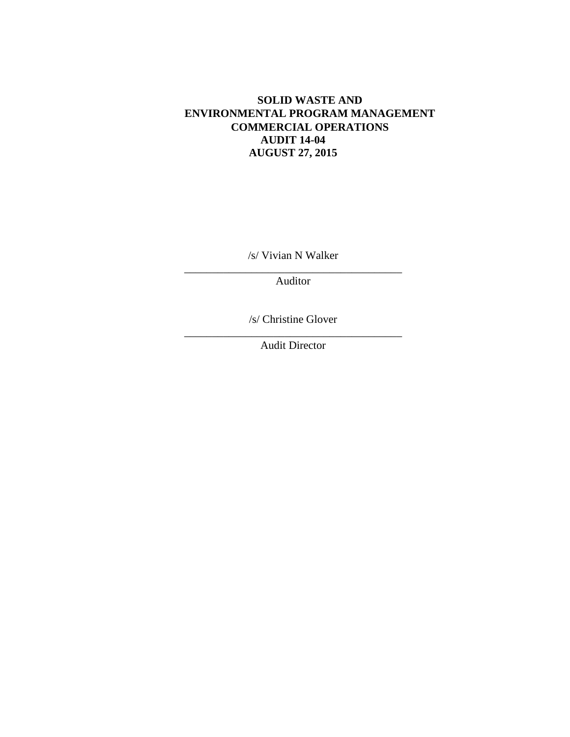# **SOLID WASTE AND ENVIRONMENTAL PROGRAM MANAGEMENT COMMERCIAL OPERATIONS AUDIT 14-04 AUGUST 27, 2015**

/s/ Vivian N Walker

\_\_\_\_\_\_\_\_\_\_\_\_\_\_\_\_\_\_\_\_\_\_\_\_\_\_\_\_\_\_\_\_\_\_\_\_\_\_\_ Auditor

/s/ Christine Glover

\_\_\_\_\_\_\_\_\_\_\_\_\_\_\_\_\_\_\_\_\_\_\_\_\_\_\_\_\_\_\_\_\_\_\_\_\_\_\_ Audit Director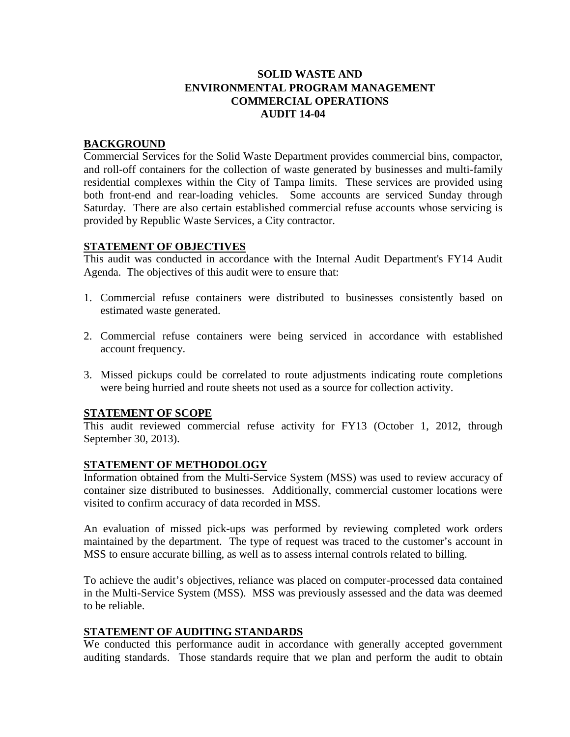# **SOLID WASTE AND ENVIRONMENTAL PROGRAM MANAGEMENT COMMERCIAL OPERATIONS AUDIT 14-04**

### **BACKGROUND**

Commercial Services for the Solid Waste Department provides commercial bins, compactor, and roll-off containers for the collection of waste generated by businesses and multi-family residential complexes within the City of Tampa limits. These services are provided using both front-end and rear-loading vehicles. Some accounts are serviced Sunday through Saturday. There are also certain established commercial refuse accounts whose servicing is provided by Republic Waste Services, a City contractor.

### **STATEMENT OF OBJECTIVES**

This audit was conducted in accordance with the Internal Audit Department's FY14 Audit Agenda. The objectives of this audit were to ensure that:

- 1. Commercial refuse containers were distributed to businesses consistently based on estimated waste generated.
- 2. Commercial refuse containers were being serviced in accordance with established account frequency.
- 3. Missed pickups could be correlated to route adjustments indicating route completions were being hurried and route sheets not used as a source for collection activity.

#### **STATEMENT OF SCOPE**

This audit reviewed commercial refuse activity for FY13 (October 1, 2012, through September 30, 2013).

## **STATEMENT OF METHODOLOGY**

Information obtained from the Multi-Service System (MSS) was used to review accuracy of container size distributed to businesses. Additionally, commercial customer locations were visited to confirm accuracy of data recorded in MSS.

An evaluation of missed pick-ups was performed by reviewing completed work orders maintained by the department. The type of request was traced to the customer's account in MSS to ensure accurate billing, as well as to assess internal controls related to billing.

To achieve the audit's objectives, reliance was placed on computer-processed data contained in the Multi-Service System (MSS). MSS was previously assessed and the data was deemed to be reliable.

## **STATEMENT OF AUDITING STANDARDS**

We conducted this performance audit in accordance with generally accepted government auditing standards. Those standards require that we plan and perform the audit to obtain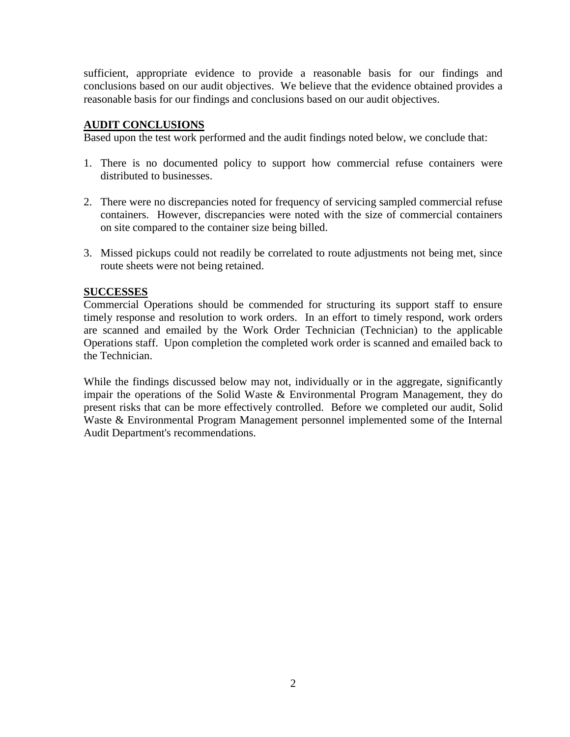sufficient, appropriate evidence to provide a reasonable basis for our findings and conclusions based on our audit objectives. We believe that the evidence obtained provides a reasonable basis for our findings and conclusions based on our audit objectives.

### **AUDIT CONCLUSIONS**

Based upon the test work performed and the audit findings noted below, we conclude that:

- 1. There is no documented policy to support how commercial refuse containers were distributed to businesses.
- 2. There were no discrepancies noted for frequency of servicing sampled commercial refuse containers. However, discrepancies were noted with the size of commercial containers on site compared to the container size being billed.
- 3. Missed pickups could not readily be correlated to route adjustments not being met, since route sheets were not being retained.

### **SUCCESSES**

Commercial Operations should be commended for structuring its support staff to ensure timely response and resolution to work orders. In an effort to timely respond, work orders are scanned and emailed by the Work Order Technician (Technician) to the applicable Operations staff. Upon completion the completed work order is scanned and emailed back to the Technician.

While the findings discussed below may not, individually or in the aggregate, significantly impair the operations of the Solid Waste & Environmental Program Management, they do present risks that can be more effectively controlled. Before we completed our audit, Solid Waste & Environmental Program Management personnel implemented some of the Internal Audit Department's recommendations.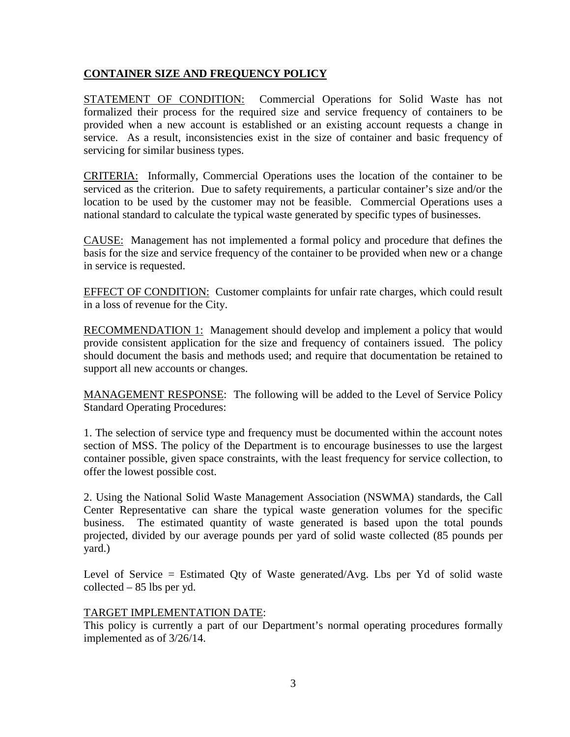## **CONTAINER SIZE AND FREQUENCY POLICY**

STATEMENT OF CONDITION: Commercial Operations for Solid Waste has not formalized their process for the required size and service frequency of containers to be provided when a new account is established or an existing account requests a change in service. As a result, inconsistencies exist in the size of container and basic frequency of servicing for similar business types.

CRITERIA: Informally, Commercial Operations uses the location of the container to be serviced as the criterion. Due to safety requirements, a particular container's size and/or the location to be used by the customer may not be feasible. Commercial Operations uses a national standard to calculate the typical waste generated by specific types of businesses.

CAUSE: Management has not implemented a formal policy and procedure that defines the basis for the size and service frequency of the container to be provided when new or a change in service is requested.

EFFECT OF CONDITION: Customer complaints for unfair rate charges, which could result in a loss of revenue for the City.

RECOMMENDATION 1: Management should develop and implement a policy that would provide consistent application for the size and frequency of containers issued. The policy should document the basis and methods used; and require that documentation be retained to support all new accounts or changes.

MANAGEMENT RESPONSE: The following will be added to the Level of Service Policy Standard Operating Procedures:

1. The selection of service type and frequency must be documented within the account notes section of MSS. The policy of the Department is to encourage businesses to use the largest container possible, given space constraints, with the least frequency for service collection, to offer the lowest possible cost.

2. Using the National Solid Waste Management Association (NSWMA) standards, the Call Center Representative can share the typical waste generation volumes for the specific business. The estimated quantity of waste generated is based upon the total pounds projected, divided by our average pounds per yard of solid waste collected (85 pounds per yard.)

Level of Service  $=$  Estimated Oty of Waste generated/Avg. Lbs per Yd of solid waste collected – 85 lbs per yd.

#### TARGET IMPLEMENTATION DATE:

This policy is currently a part of our Department's normal operating procedures formally implemented as of 3/26/14.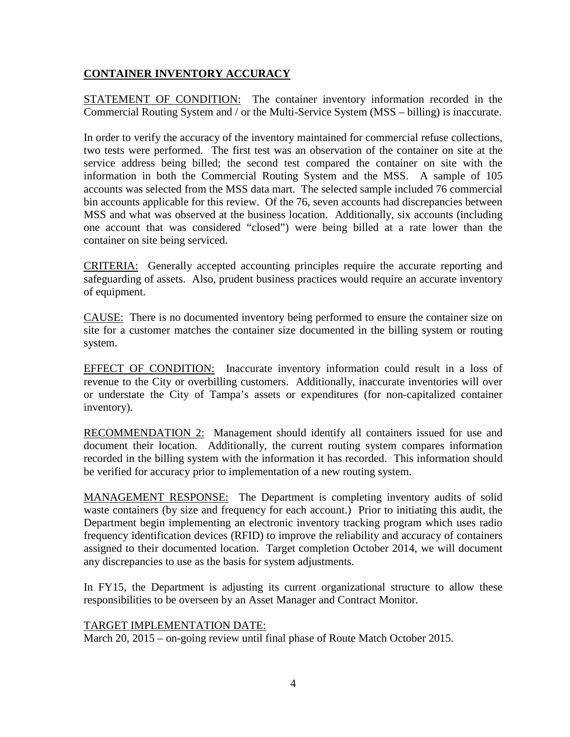## **CONTAINER INVENTORY ACCURACY**

STATEMENT OF CONDITION: The container inventory information recorded in the Commercial Routing System and / or the Multi-Service System (MSS – billing) is inaccurate.

In order to verify the accuracy of the inventory maintained for commercial refuse collections, two tests were performed. The first test was an observation of the container on site at the service address being billed; the second test compared the container on site with the information in both the Commercial Routing System and the MSS. A sample of 105 accounts was selected from the MSS data mart. The selected sample included 76 commercial bin accounts applicable for this review. Of the 76, seven accounts had discrepancies between MSS and what was observed at the business location. Additionally, six accounts (including one account that was considered "closed") were being billed at a rate lower than the container on site being serviced.

CRITERIA: Generally accepted accounting principles require the accurate reporting and safeguarding of assets. Also, prudent business practices would require an accurate inventory of equipment.

CAUSE: There is no documented inventory being performed to ensure the container size on site for a customer matches the container size documented in the billing system or routing system.

EFFECT OF CONDITION: Inaccurate inventory information could result in a loss of revenue to the City or overbilling customers. Additionally, inaccurate inventories will over or understate the City of Tampa's assets or expenditures (for non-capitalized container inventory).

RECOMMENDATION 2: Management should identify all containers issued for use and document their location. Additionally, the current routing system compares information recorded in the billing system with the information it has recorded. This information should be verified for accuracy prior to implementation of a new routing system.

MANAGEMENT RESPONSE: The Department is completing inventory audits of solid waste containers (by size and frequency for each account.) Prior to initiating this audit, the Department begin implementing an electronic inventory tracking program which uses radio frequency identification devices (RFID) to improve the reliability and accuracy of containers assigned to their documented location. Target completion October 2014, we will document any discrepancies to use as the basis for system adjustments.

In FY15, the Department is adjusting its current organizational structure to allow these responsibilities to be overseen by an Asset Manager and Contract Monitor.

## TARGET IMPLEMENTATION DATE:

March 20, 2015 – on-going review until final phase of Route Match October 2015.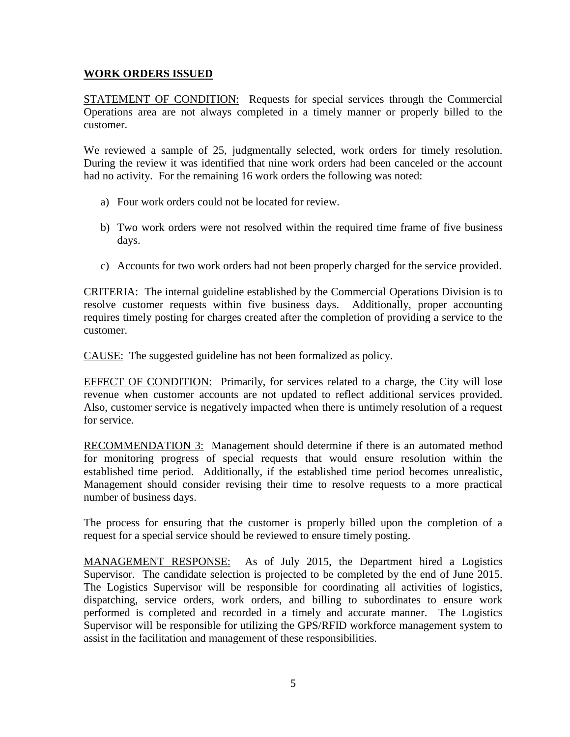### **WORK ORDERS ISSUED**

STATEMENT OF CONDITION: Requests for special services through the Commercial Operations area are not always completed in a timely manner or properly billed to the customer.

We reviewed a sample of 25, judgmentally selected, work orders for timely resolution. During the review it was identified that nine work orders had been canceled or the account had no activity. For the remaining 16 work orders the following was noted:

- a) Four work orders could not be located for review.
- b) Two work orders were not resolved within the required time frame of five business days.
- c) Accounts for two work orders had not been properly charged for the service provided.

CRITERIA: The internal guideline established by the Commercial Operations Division is to resolve customer requests within five business days. Additionally, proper accounting requires timely posting for charges created after the completion of providing a service to the customer.

CAUSE: The suggested guideline has not been formalized as policy.

EFFECT OF CONDITION: Primarily, for services related to a charge, the City will lose revenue when customer accounts are not updated to reflect additional services provided. Also, customer service is negatively impacted when there is untimely resolution of a request for service.

RECOMMENDATION 3: Management should determine if there is an automated method for monitoring progress of special requests that would ensure resolution within the established time period. Additionally, if the established time period becomes unrealistic, Management should consider revising their time to resolve requests to a more practical number of business days.

The process for ensuring that the customer is properly billed upon the completion of a request for a special service should be reviewed to ensure timely posting.

MANAGEMENT RESPONSE: As of July 2015, the Department hired a Logistics Supervisor. The candidate selection is projected to be completed by the end of June 2015. The Logistics Supervisor will be responsible for coordinating all activities of logistics, dispatching, service orders, work orders, and billing to subordinates to ensure work performed is completed and recorded in a timely and accurate manner. The Logistics Supervisor will be responsible for utilizing the GPS/RFID workforce management system to assist in the facilitation and management of these responsibilities.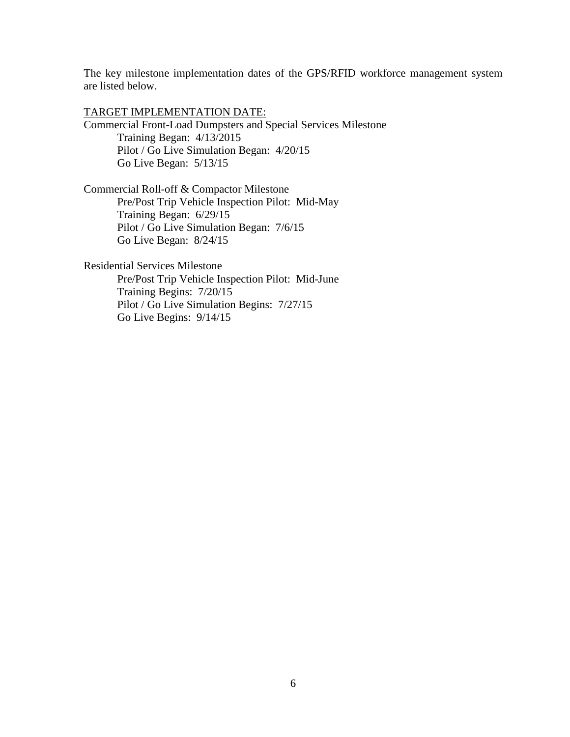The key milestone implementation dates of the GPS/RFID workforce management system are listed below.

TARGET IMPLEMENTATION DATE: Commercial Front-Load Dumpsters and Special Services Milestone Training Began: 4/13/2015 Pilot / Go Live Simulation Began: 4/20/15 Go Live Began: 5/13/15

Commercial Roll-off & Compactor Milestone Pre/Post Trip Vehicle Inspection Pilot: Mid-May Training Began: 6/29/15 Pilot / Go Live Simulation Began: 7/6/15 Go Live Began: 8/24/15

Residential Services Milestone Pre/Post Trip Vehicle Inspection Pilot: Mid-June Training Begins: 7/20/15 Pilot / Go Live Simulation Begins: 7/27/15 Go Live Begins: 9/14/15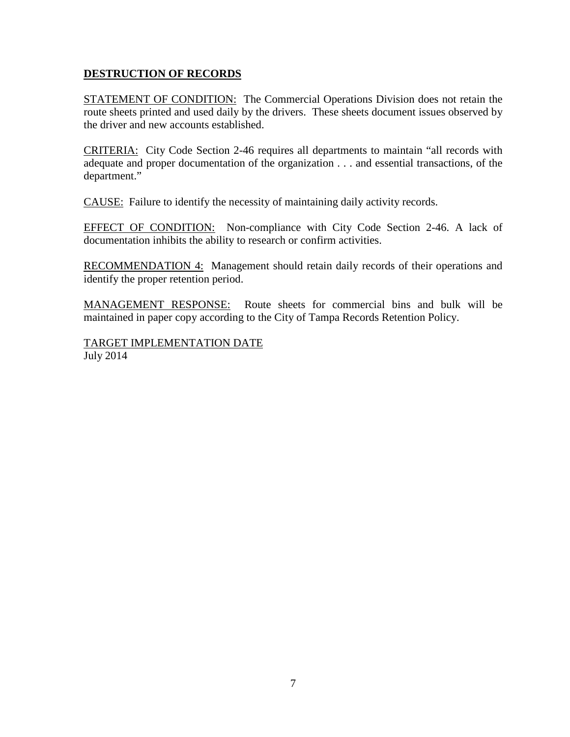## **DESTRUCTION OF RECORDS**

STATEMENT OF CONDITION: The Commercial Operations Division does not retain the route sheets printed and used daily by the drivers. These sheets document issues observed by the driver and new accounts established.

CRITERIA: City Code Section 2-46 requires all departments to maintain "all records with adequate and proper documentation of the organization . . . and essential transactions, of the department."

CAUSE: Failure to identify the necessity of maintaining daily activity records.

EFFECT OF CONDITION: Non-compliance with City Code Section 2-46. A lack of documentation inhibits the ability to research or confirm activities.

RECOMMENDATION 4: Management should retain daily records of their operations and identify the proper retention period.

MANAGEMENT RESPONSE: Route sheets for commercial bins and bulk will be maintained in paper copy according to the City of Tampa Records Retention Policy.

TARGET IMPLEMENTATION DATE July 2014